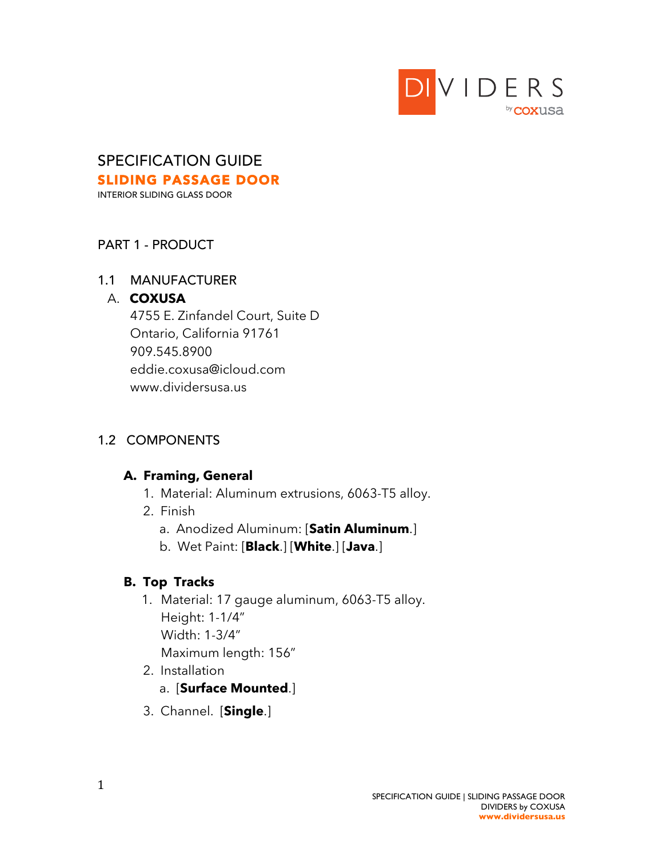

# SPECIFICATION GUIDE SLIDING PASSAGE DOOR

INTERIOR SLIDING GLASS DOOR

### PART 1 - PRODUCT

#### 1.1 MANUFACTURER

#### A. **COXUSA**

 4755 E. Zinfandel Court, Suite D Ontario, California 91761 909.545.8900 eddie.coxusa@icloud.com www.dividersusa.us

### 1.2 COMPONENTS

### **A. Framing, General**

- 1. Material: Aluminum extrusions, 6063-T5 alloy.
- 2. Finish
	- a. Anodized Aluminum: [**Satin Aluminum**.]
	- b. Wet Paint: [**Black**.] [**White**.] [**Java**.]

### **B. Top Tracks**

- 1. Material: 17 gauge aluminum, 6063-T5 alloy. Height: 1-1/4" Width: 1-3/4" Maximum length: 156"
- 2. Installation a. [**Surface Mounted**.]
- 3. Channel. [**Single**.]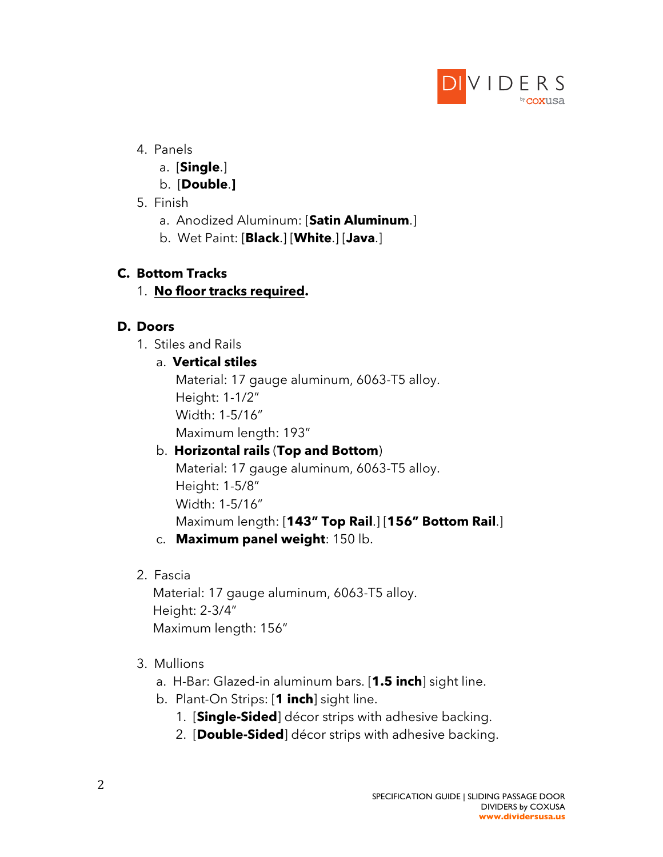

### 4. Panels

- a. [**Single**.]
- b. [**Double**.**]**
- 5. Finish
	- a. Anodized Aluminum: [**Satin Aluminum**.]
	- b. Wet Paint: [**Black**.] [**White**.] [**Java**.]

### **C. Bottom Tracks**

### 1. **No floor tracks required.**

### **D. Doors**

1. Stiles and Rails

### a. **Vertical stiles**

Material: 17 gauge aluminum, 6063-T5 alloy. Height: 1-1/2" Width: 1-5/16"

Maximum length: 193"

# b. **Horizontal rails** (**Top and Bottom**)

Material: 17 gauge aluminum, 6063-T5 alloy. Height: 1-5/8" Width: 1-5/16" Maximum length: [**143" Top Rail**.] [**156" Bottom Rail**.]

- c. **Maximum panel weight**: 150 lb.
- 2. Fascia

Material: 17 gauge aluminum, 6063-T5 alloy. Height: 2-3/4" Maximum length: 156"

## 3. Mullions

- a. H-Bar: Glazed-in aluminum bars. [**1.5 inch**] sight line.
- b. Plant-On Strips: [**1 inch**] sight line.
	- 1. [**Single-Sided**] décor strips with adhesive backing.
	- 2. [**Double-Sided**] décor strips with adhesive backing.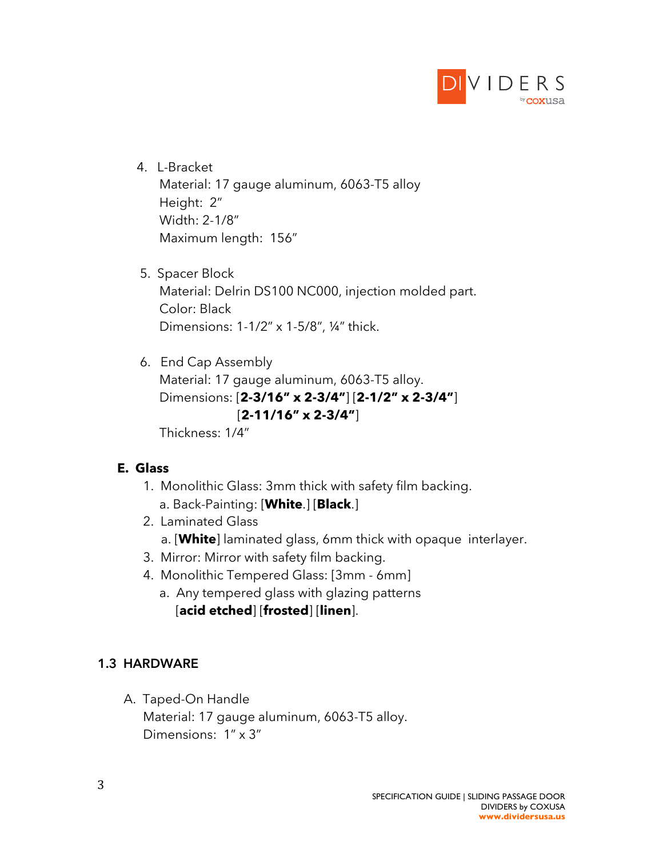

- 4. L-Bracket Material: 17 gauge aluminum, 6063-T5 alloy Height: 2" Width: 2-1/8" Maximum length: 156"
- 5. Spacer Block Material: Delrin DS100 NC000, injection molded part. Color: Black Dimensions: 1-1/2" x 1-5/8", ¼" thick.
- 6. End Cap Assembly Material: 17 gauge aluminum, 6063-T5 alloy. Dimensions: [**2-3/16" x 2-3/4"**] [**2-1/2" x 2-3/4"**] [**2-11/16" x 2-3/4"**] Thickness: 1/4"

### **E. Glass**

- 1. Monolithic Glass: 3mm thick with safety film backing. a. Back-Painting: [**White**.] [**Black**.]
- 2. Laminated Glass a. [**White**] laminated glass, 6mm thick with opaque interlayer.
- 3. Mirror: Mirror with safety film backing.
- 4. Monolithic Tempered Glass: [3mm 6mm]
	- a. Any tempered glass with glazing patterns [**acid etched**] [**frosted**] [**linen**].

#### **1.3 HARDWARE**

- A. Taped-On Handle
	- Material: 17 gauge aluminum, 6063-T5 alloy. Dimensions: 1" x 3"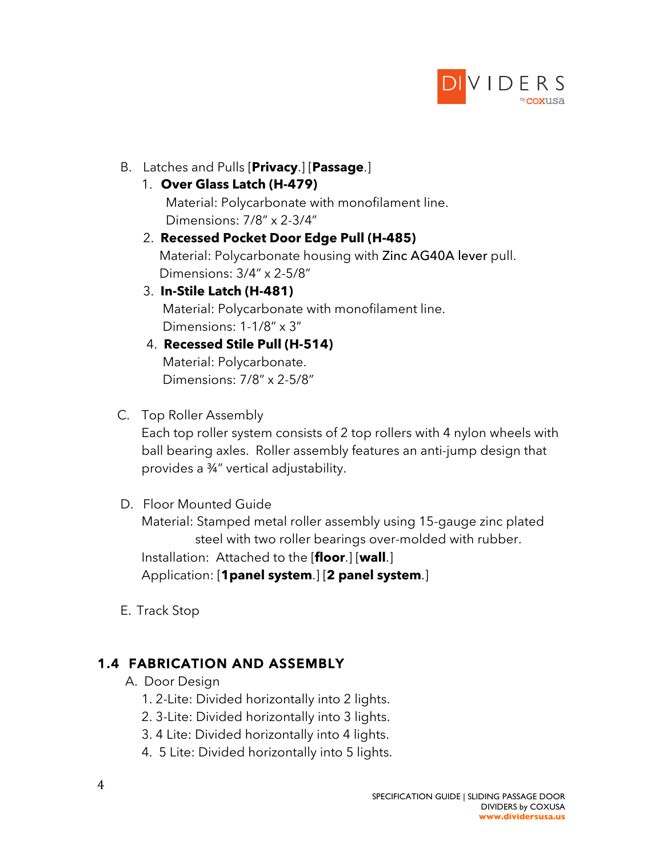

- B. Latches and Pulls [**Privacy**.] [**Passage**.]
	- 1. **Over Glass Latch (H-479)**

Material: Polycarbonate with monofilament line. Dimensions: 7/8" x 2-3/4"

- 2. **Recessed Pocket Door Edge Pull (H-485)** Material: Polycarbonate housing with Zinc AG40A lever pull. Dimensions: 3/4" x 2-5/8"
- 3. **In-Stile Latch (H-481)**

 Material: Polycarbonate with monofilament line. Dimensions: 1-1/8" x 3"

- 4. **Recessed Stile Pull (H-514)** Material: Polycarbonate. Dimensions: 7/8" x 2-5/8"
- C. Top Roller Assembly

Each top roller system consists of 2 top rollers with 4 nylon wheels with ball bearing axles. Roller assembly features an anti-jump design that provides a ¾" vertical adjustability.

D. Floor Mounted Guide

Material: Stamped metal roller assembly using 15-gauge zinc plated steel with two roller bearings over-molded with rubber. Installation: Attached to the [**floor**.] [**wall**.] Application: [**1panel system**.] [**2 panel system**.]

E. Track Stop

## **1.4 FABRICATION AND ASSEMBLY**

- A. Door Design
	- 1. 2-Lite: Divided horizontally into 2 lights.
	- 2. 3-Lite: Divided horizontally into 3 lights.
	- 3. 4 Lite: Divided horizontally into 4 lights.
	- 4. 5 Lite: Divided horizontally into 5 lights.